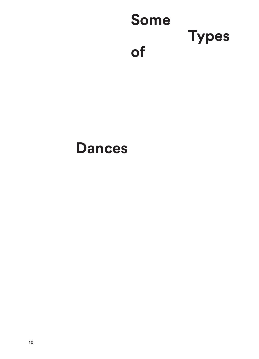

## **Dances**